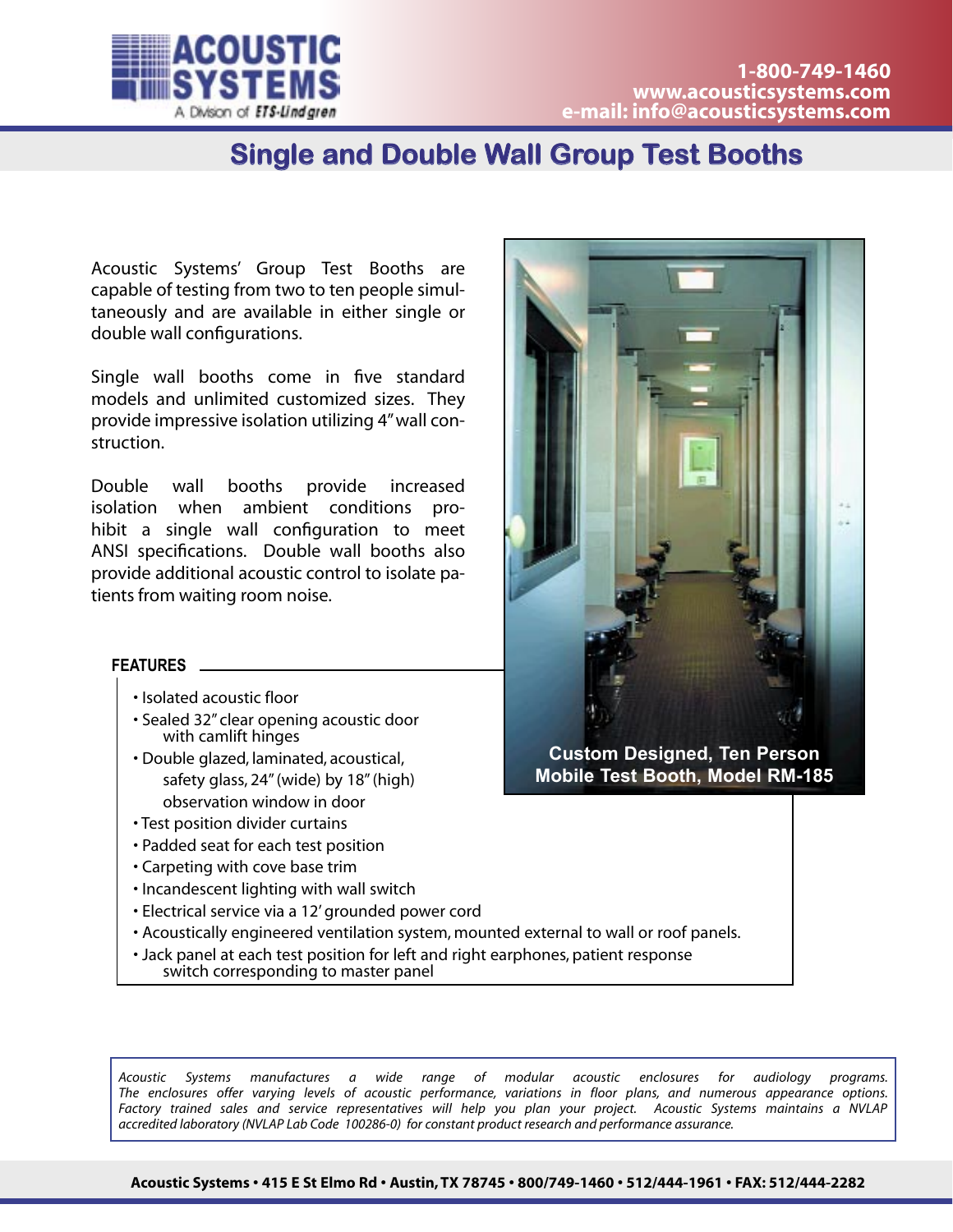

## **Single and Double Wall Group Test Booths**

Acoustic Systems' Group Test Booths are capable of testing from two to ten people simultaneously and are available in either single or double wall configurations.

Single wall booths come in five standard models and unlimited customized sizes. They provide impressive isolation utilizing 4" wall construction.

Double wall booths provide increased isolation when ambient conditions prohibit a single wall configuration to meet ANSI specifications. Double wall booths also provide additional acoustic control to isolate patients from waiting room noise.

## **FEATURES**

- Isolated acoustic floor
- Sealed 32" clear opening acoustic door with camlift hinges
- Double glazed, laminated, acoustical, safety glass, 24" (wide) by 18" (high) observation window in door
- Test position divider curtains
- Padded seat for each test position
- Carpeting with cove base trim
- Incandescent lighting with wall switch
- Electrical service via a 12' grounded power cord
- Acoustically engineered ventilation system, mounted external to wall or roof panels.
- Jack panel at each test position for left and right earphones, patient response switch corresponding to master panel

**Custom Designed, Ten Person Mobile Test Booth, Model RM-185**

*Acoustic Systems manufactures a wide range of modular acoustic enclosures for audiology programs. The enclosures offer varying levels of acoustic performance, variations in floor plans, and numerous appearance options. Factory trained sales and service representatives will help you plan your project. Acoustic Systems maintains a NVLAP accredited laboratory (NVLAP Lab Code 100286-0) for constant product research and performance assurance.*